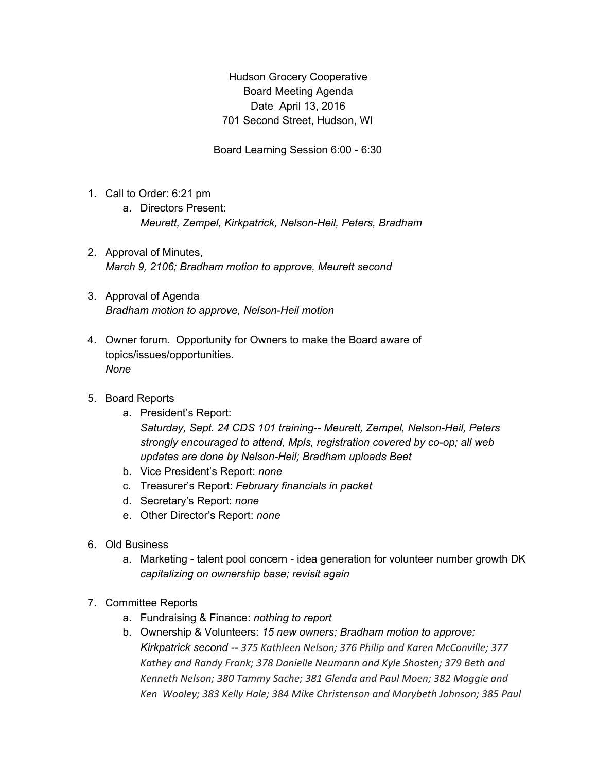Hudson Grocery Cooperative Board Meeting Agenda Date April 13, 2016 701 Second Street, Hudson, WI

Board Learning Session 6:00 - 6:30

- 1. Call to Order: 6:21 pm
	- a. Directors Present: *Meurett, Zempel, Kirkpatrick, Nelson-Heil, Peters, Bradham*
- 2. Approval of Minutes, *March 9, 2106; Bradham motion to approve, Meurett second*
- 3. Approval of Agenda *Bradham motion to approve, Nelson-Heil motion*
- 4. Owner forum. Opportunity for Owners to make the Board aware of topics/issues/opportunities. *None*
- 5. Board Reports
	- a. President's Report: *Saturday, Sept. 24 CDS 101 training-- Meurett, Zempel, Nelson-Heil, Peters strongly encouraged to attend, Mpls, registration covered by co-op; all web updates are done by Nelson-Heil; Bradham uploads Beet*
	- b. Vice President's Report: *none*
	- c. Treasurer's Report: *February financials in packet*
	- d. Secretary's Report: *none*
	- e. Other Director's Report: *none*
- 6. Old Business
	- a. Marketing talent pool concern idea generation for volunteer number growth DK *capitalizing on ownership base; revisit again*
- 7. Committee Reports
	- a. Fundraising & Finance: *nothing to report*
	- b. Ownership & Volunteers: *15 new owners; Bradham motion to approve; Kirkpatrick second -- 375 Kathleen Nelson; 376 Philip and Karen McConville; 377 Kathey and Randy Frank; 378 Danielle Neumann and Kyle Shosten; 379 Beth and Kenneth Nelson; 380 Tammy Sache; 381 Glenda and Paul Moen; 382 Maggie and Ken Wooley; 383 Kelly Hale; 384 Mike Christenson and Marybeth Johnson; 385 Paul*